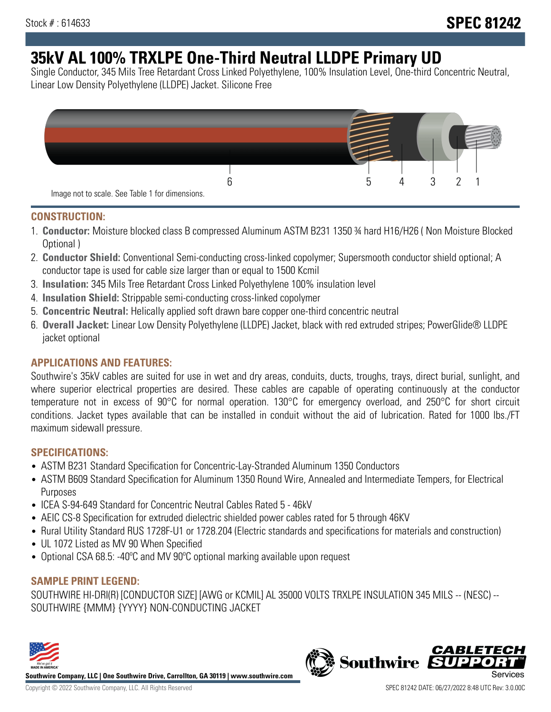# **35kV AL 100% TRXLPE One-Third Neutral LLDPE Primary UD**

Single Conductor, 345 Mils Tree Retardant Cross Linked Polyethylene, 100% Insulation Level, One-third Concentric Neutral, Linear Low Density Polyethylene (LLDPE) Jacket. Silicone Free



### **CONSTRUCTION:**

- 1. **Conductor:** Moisture blocked class B compressed Aluminum ASTM B231 1350 ¾ hard H16/H26 ( Non Moisture Blocked Optional )
- 2. **Conductor Shield:** Conventional Semi-conducting cross-linked copolymer; Supersmooth conductor shield optional; A conductor tape is used for cable size larger than or equal to 1500 Kcmil
- 3. **Insulation:** 345 Mils Tree Retardant Cross Linked Polyethylene 100% insulation level
- 4. **Insulation Shield:** Strippable semi-conducting cross-linked copolymer
- 5. **Concentric Neutral:** Helically applied soft drawn bare copper one-third concentric neutral
- 6. **Overall Jacket:** Linear Low Density Polyethylene (LLDPE) Jacket, black with red extruded stripes; PowerGlide® LLDPE jacket optional

## **APPLICATIONS AND FEATURES:**

Southwire's 35kV cables are suited for use in wet and dry areas, conduits, ducts, troughs, trays, direct burial, sunlight, and where superior electrical properties are desired. These cables are capable of operating continuously at the conductor temperature not in excess of 90°C for normal operation. 130°C for emergency overload, and 250°C for short circuit conditions. Jacket types available that can be installed in conduit without the aid of lubrication. Rated for 1000 lbs./FT maximum sidewall pressure.

## **SPECIFICATIONS:**

- ASTM B231 Standard Specification for Concentric-Lay-Stranded Aluminum 1350 Conductors
- ASTM B609 Standard Specification for Aluminum 1350 Round Wire, Annealed and Intermediate Tempers, for Electrical Purposes
- ICEA S-94-649 Standard for Concentric Neutral Cables Rated 5 46kV
- AEIC CS-8 Specification for extruded dielectric shielded power cables rated for 5 through 46KV
- Rural Utility Standard RUS 1728F-U1 or 1728.204 (Electric standards and specifications for materials and construction)
- UL 1072 Listed as MV 90 When Specified
- Optional CSA 68.5: -40ºC and MV 90ºC optional marking available upon request

## **SAMPLE PRINT LEGEND:**

SOUTHWIRE HI-DRI(R) [CONDUCTOR SIZE] [AWG or KCMIL] AL 35000 VOLTS TRXLPE INSULATION 345 MILS -- (NESC) -- SOUTHWIRE {MMM} {YYYY} NON-CONDUCTING JACKET



**Southwire Company, LLC | One Southwire Drive, Carrollton, GA 30119 | www.southwire.com**

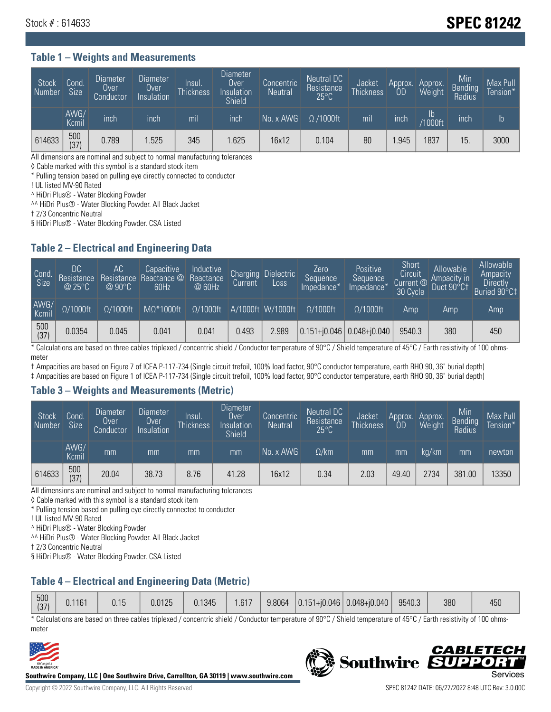## Stock # : 614633 **SPEC 81242**

#### **Table 1 – Weights and Measurements**

| Stock<br>Number | Cond<br>Size <sup>1</sup> | <b>Diameter</b><br><b>Over</b><br>Conductor | <b>Diameter</b><br>Over<br>Insulation | Insul.<br><b>Thickness</b> | <b>Diameter</b><br>Over<br>Insulation<br><b>Shield</b> | Concentric<br><b>Neutral</b> | Neutral DC<br>Resistance<br>$25^{\circ}$ C | Jacket<br><b>Thickness</b> | Approx.<br>OD | Approx.<br>Weight | Min<br><b>Bending</b><br>Radius | Max Pull<br>Tension* |
|-----------------|---------------------------|---------------------------------------------|---------------------------------------|----------------------------|--------------------------------------------------------|------------------------------|--------------------------------------------|----------------------------|---------------|-------------------|---------------------------------|----------------------|
|                 | AWG/<br>Kcmil             | inch                                        | inch                                  | mıl                        | inch                                                   | No. x AWG                    | $\Omega$ /1000ft                           | mil                        | inch          | Ib<br>/1000ft     | <b>Inch</b>                     | lb                   |
| 614633          | 500<br>(37)               | 0.789                                       | .525                                  | 345                        | .625                                                   | 16x12                        | 0.104                                      | 80                         | .945          | 1837              | 15.                             | 3000                 |

All dimensions are nominal and subject to normal manufacturing tolerances

◊ Cable marked with this symbol is a standard stock item

\* Pulling tension based on pulling eye directly connected to conductor

! UL listed MV-90 Rated

^ HiDri Plus® - Water Blocking Powder

^^ HiDri Plus® - Water Blocking Powder. All Black Jacket

† 2/3 Concentric Neutral

§ HiDri Plus® - Water Blocking Powder. CSA Listed

#### **Table 2 – Electrical and Engineering Data**

| Cond.<br>Size | 'DC<br>Resistance<br>@25°C | АC<br>Resistance<br>$\varpi$ 90°C | Capacitive<br>Reactance @<br>60Hz | Inductive<br>Reactance<br>@ 60Hz | <b>Charging</b><br>Current | <b>Dielectric</b><br>Loss | Zero<br>Sequence<br>Impedance* | <b>Positive</b><br>Sequence<br>Impedance <sup>+</sup> | Short<br>Circuit<br>Current <sup>@1</sup><br>30 Cycle | Allowable<br>Ampacity in<br>Duct 90°C1 | Allowable<br>Ampacity<br>Directly<br>Buried 90°C‡ |
|---------------|----------------------------|-----------------------------------|-----------------------------------|----------------------------------|----------------------------|---------------------------|--------------------------------|-------------------------------------------------------|-------------------------------------------------------|----------------------------------------|---------------------------------------------------|
| AWG/<br>Kcmil | $\Omega/1000$ ft           | $\Omega/1000$ ft                  | $M\Omega^*1000$ ft                | $\Omega/1000$ ft                 |                            | A/1000ft W/1000ft         | $\Omega/1000$ ft               | $\Omega$ /1000ft                                      | Amp                                                   | Amp                                    | Amp                                               |
| 500<br>(37)   | 0.0354                     | 0.045                             | 0.041                             | 0.041                            | 0.493                      | 2.989                     |                                | $0.151 + 0.046$ 0.048+ $0.040$                        | 9540.3                                                | 380                                    | 450                                               |

\* Calculations are based on three cables triplexed / concentric shield / Conductor temperature of 90°C / Shield temperature of 45°C / Earth resistivity of 100 ohmsmeter

† Ampacities are based on Figure 7 of ICEA P-117-734 (Single circuit trefoil, 100% load factor, 90°C conductor temperature, earth RHO 90, 36" burial depth)

‡ Ampacities are based on Figure 1 of ICEA P-117-734 (Single circuit trefoil, 100% load factor, 90°C conductor temperature, earth RHO 90, 36" burial depth)

#### **Table 3 – Weights and Measurements (Metric)**

| Stock<br>Number | Cond.<br>Size <sup>1</sup> | <b>Diameter</b><br>Over<br>Conductor | Diameter<br><b>Over</b><br>Insulation | Insul.<br><b>Thickness</b> | <b>Diameter</b><br>Over<br>Insulation<br><b>Shield</b> | Concentric<br>Neutral | Neutral DC<br>Resistance<br>$25^{\circ}$ C | <b>Jacket</b><br><b>Thickness</b> | Approx.<br>ОD | Approx.<br>Weight | Min<br>Bending | Max Pull<br>Tension* |
|-----------------|----------------------------|--------------------------------------|---------------------------------------|----------------------------|--------------------------------------------------------|-----------------------|--------------------------------------------|-----------------------------------|---------------|-------------------|----------------|----------------------|
|                 | AWG/<br>Kcmil              | mm                                   | mm                                    | mm                         | mm                                                     | No. x AWG             | $\Omega$ /km                               | mm                                | mm            | ka/km             | mm             | newton               |
| 614633          | 500<br>(37)                | 20.04                                | 38.73                                 | 8.76                       | 41.28                                                  | 16x12                 | 0.34                                       | 2.03                              | 49.40         | 2734              | 381.00         | 13350                |

All dimensions are nominal and subject to normal manufacturing tolerances

◊ Cable marked with this symbol is a standard stock item

\* Pulling tension based on pulling eye directly connected to conductor

! UL listed MV-90 Rated

^ HiDri Plus® - Water Blocking Powder

^^ HiDri Plus® - Water Blocking Powder. All Black Jacket

† 2/3 Concentric Neutral

§ HiDri Plus® - Water Blocking Powder. CSA Listed

## **Table 4 – Electrical and Engineering Data (Metric)**

| 500<br>127'      | 0.1161 | 0.15 | 0.0125 | 0.1345 | .617 | 9.8064 | $ 0.151 +  0.046 $ | $  0.048 + 0.040  $ | 9540.3 | 380 | 450 |
|------------------|--------|------|--------|--------|------|--------|--------------------|---------------------|--------|-----|-----|
| 151 <sup>r</sup> |        |      |        |        |      |        |                    |                     |        |     |     |

\* Calculations are based on three cables triplexed / concentric shield / Conductor temperature of 90°C / Shield temperature of 45°C / Earth resistivity of 100 ohmsmeter



**Southwire Company, LLC | One Southwire Drive, Carrollton, GA 30119 | www.southwire.com**